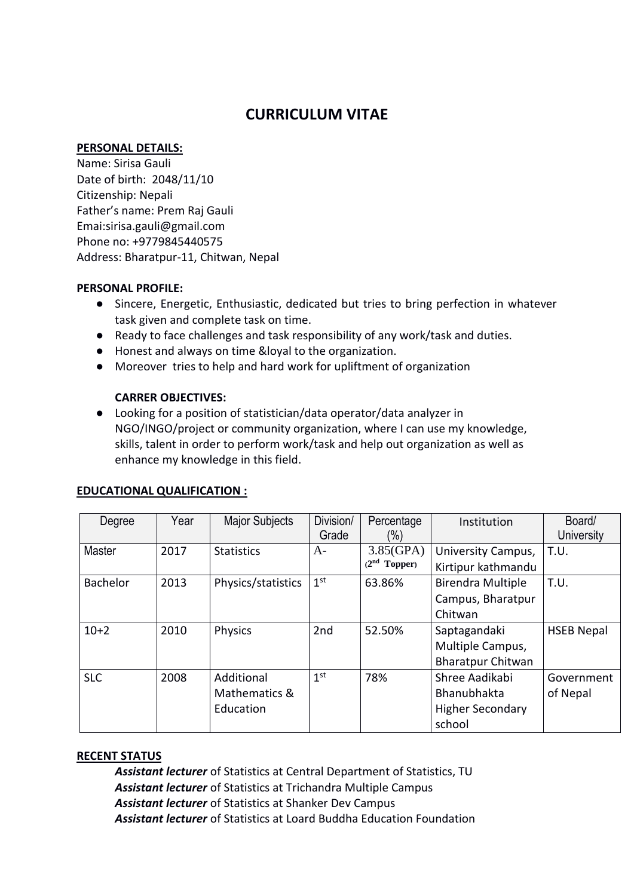# **CURRICULUM VITAE**

#### **PERSONAL DETAILS:**

Name: Sirisa Gauli Date of birth: 2048/11/10 Citizenship: Nepali Father's name: Prem Raj Gauli Emai:sirisa.gauli@gmail.com Phone no: +9779845440575 Address: Bharatpur-11, Chitwan, Nepal

#### **PERSONAL PROFILE:**

- Sincere, Energetic, Enthusiastic, dedicated but tries to bring perfection in whatever task given and complete task on time.
- Ready to face challenges and task responsibility of any work/task and duties.
- Honest and always on time &loyal to the organization.
- Moreover tries to help and hard work for upliftment of organization

## **CARRER OBJECTIVES:**

● Looking for a position of statistician/data operator/data analyzer in NGO/INGO/project or community organization, where I can use my knowledge, skills, talent in order to perform work/task and help out organization as well as enhance my knowledge in this field.

| Degree          | Year | <b>Major Subjects</b>                    | Division/<br>Grade | Percentage<br>(%)           | Institution                                                        | Board/<br>University   |
|-----------------|------|------------------------------------------|--------------------|-----------------------------|--------------------------------------------------------------------|------------------------|
| Master          | 2017 | <b>Statistics</b>                        | $A-$               | 3.85(GPA)<br>$(2nd$ Topper) | University Campus,<br>Kirtipur kathmandu                           | T.U.                   |
| <b>Bachelor</b> | 2013 | Physics/statistics                       | 1 <sup>st</sup>    | 63.86%                      | <b>Birendra Multiple</b><br>Campus, Bharatpur<br>Chitwan           | T.U.                   |
| $10+2$          | 2010 | Physics                                  | 2nd                | 52.50%                      | Saptagandaki<br>Multiple Campus,<br><b>Bharatpur Chitwan</b>       | <b>HSEB Nepal</b>      |
| <b>SLC</b>      | 2008 | Additional<br>Mathematics &<br>Education | 1 <sup>st</sup>    | 78%                         | Shree Aadikabi<br>Bhanubhakta<br><b>Higher Secondary</b><br>school | Government<br>of Nepal |

#### **EDUCATIONAL QUALIFICATION :**

#### **RECENT STATUS**

*Assistant lecturer* of Statistics at Central Department of Statistics, TU *Assistant lecturer* of Statistics at Trichandra Multiple Campus *Assistant lecturer* of Statistics at Shanker Dev Campus *Assistant lecturer* of Statistics at Loard Buddha Education Foundation